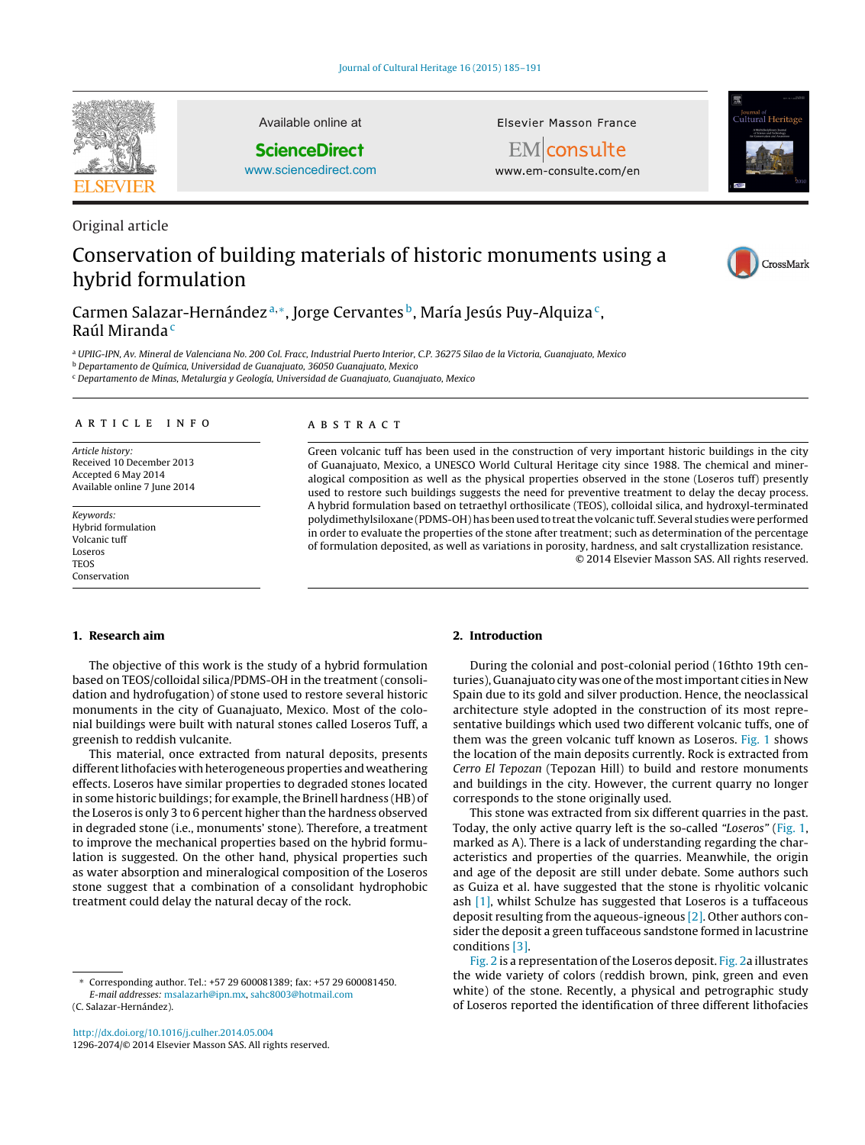

Original article

Available online at

**ScienceDirect**

[www.sciencedirect.com](http://www.sciencedirect.com/science/journal/12962074)

Elsevier Masson France



EMconsulte www.em-consulte.com/en

# Conservation of building materials of historic monuments using a hybrid formulation



Carmen Salazar-Hernández a,\*, Jorge Cervantes b, María Jesús Puy-Alquiza<sup>c</sup>, Raúl Miranda<sup>c</sup>

<sup>a</sup> UPIIG-IPN, Av. Mineral de Valenciana No. 200 Col. Fracc, Industrial Puerto Interior, C.P. 36275 Silao de la Victoria, Guanajuato, Mexico

<sup>b</sup> Departamento de Química, Universidad de Guanajuato, 36050 Guanajuato, Mexico

<sup>c</sup> Departamento de Minas, Metalurgia y Geología, Universidad de Guanajuato, Guanajuato, Mexico

### a r t i c l e i n f o

Article history: Received 10 December 2013 Accepted 6 May 2014 Available online 7 June 2014

Keywords: Hybrid formulation Volcanic tuff Loseros **TEOS** Conservation

#### A B S T R A C T

Green volcanic tuff has been used in the construction of very important historic buildings in the city of Guanajuato, Mexico, a UNESCO World Cultural Heritage city since 1988. The chemical and mineralogical composition as well as the physical properties observed in the stone (Loseros tuff) presently used to restore such buildings suggests the need for preventive treatment to delay the decay process. A hybrid formulation based on tetraethyl orthosilicate (TEOS), colloidal silica, and hydroxyl-terminated polydimethylsiloxane (PDMS-OH) has been used to treatthe volcanic tuff. Several studies were performed in order to evaluate the properties of the stone after treatment; such as determination of the percentage of formulation deposited, as well as variations in porosity, hardness, and salt crystallization resistance. © 2014 Elsevier Masson SAS. All rights reserved.

#### **1. Research aim**

The objective of this work is the study of a hybrid formulation based on TEOS/colloidal silica/PDMS-OH in the treatment (consolidation and hydrofugation) of stone used to restore several historic monuments in the city of Guanajuato, Mexico. Most of the colonial buildings were built with natural stones called Loseros Tuff, a greenish to reddish vulcanite.

This material, once extracted from natural deposits, presents different lithofacies with heterogeneous properties and weathering effects. Loseros have similar properties to degraded stones located in some historic buildings; for example, the Brinell hardness (HB) of the Loseros is only 3 to 6 percent higher than the hardness observed in degraded stone (i.e., monuments' stone). Therefore, a treatment to improve the mechanical properties based on the hybrid formulation is suggested. On the other hand, physical properties such as water absorption and mineralogical composition of the Loseros stone suggest that a combination of a consolidant hydrophobic treatment could delay the natural decay of the rock.

### **2. Introduction**

During the colonial and post-colonial period (16thto 19th centuries), Guanajuato city was one of the most important cities in New Spain due to its gold and silver production. Hence, the neoclassical architecture style adopted in the construction of its most representative buildings which used two different volcanic tuffs, one of them was the green volcanic tuff known as Loseros. [Fig.](#page-1-0) 1 shows the location of the main deposits currently. Rock is extracted from Cerro El Tepozan (Tepozan Hill) to build and restore monuments and buildings in the city. However, the current quarry no longer corresponds to the stone originally used.

This stone was extracted from six different quarries in the past. Today, the only active quarry left is the so-called "Loseros" [\(Fig.](#page-1-0) 1, marked as A). There is a lack of understanding regarding the characteristics and properties of the quarries. Meanwhile, the origin and age of the deposit are still under debate. Some authors such as Guiza et al. have suggested that the stone is rhyolitic volcanic ash [\[1\],](#page--1-0) whilst Schulze has suggested that Loseros is a tuffaceous deposit resulting from the aqueous-igneous [\[2\].](#page--1-0) Other authors consider the deposit a green tuffaceous sandstone formed in lacustrine conditions [\[3\].](#page--1-0)

[Fig.](#page-1-0) 2 is a representation of the Loseros deposit. Fig. 2a illustrates the wide variety of colors (reddish brown, pink, green and even white) of the stone. Recently, a physical and petrographic study of Loseros reported the identification of three different lithofacies

<sup>∗</sup> Corresponding author. Tel.: +57 29 600081389; fax: +57 29 600081450. E-mail addresses: [msalazarh@ipn.mx,](mailto:msalazarh@ipn.mx) [sahc8003@hotmail.com](mailto:sahc8003@hotmail.com) (C. Salazar-Hernández).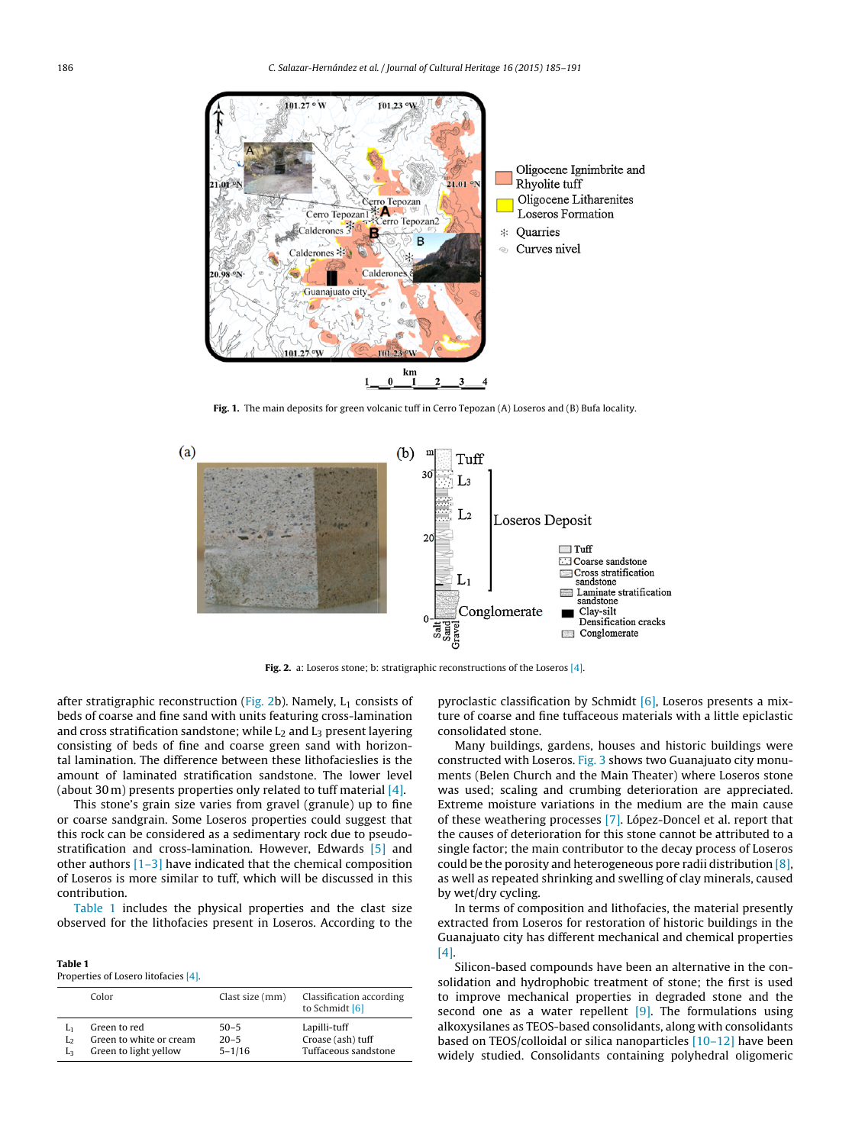<span id="page-1-0"></span>

**Fig. 1.** The main deposits for green volcanic tuff in Cerro Tepozan (A) Loseros and (B) Bufa locality.



**Fig. 2.** a: Loseros stone; b: stratigraphic reconstructions of the Loseros [\[4\].](#page--1-0)

after stratigraphic reconstruction (Fig. 2b). Namely,  $L_1$  consists of beds of coarse and fine sand with units featuring cross-lamination and cross stratification sandstone; while  $L_2$  and  $L_3$  present layering consisting of beds of fine and coarse green sand with horizontal lamination. The difference between these lithofacieslies is the amount of laminated stratification sandstone. The lower level (about 30 m) presents properties only related to tuff material  $[4]$ .

This stone's grain size varies from gravel (granule) up to fine or coarse sandgrain. Some Loseros properties could suggest that this rock can be considered as a sedimentary rock due to pseudostratification and cross-lamination. However, Edwards [\[5\]](#page--1-0) and other authors [\[1–3\]](#page--1-0) have indicated that the chemical composition of Loseros is more similar to tuff, which will be discussed in this contribution.

Table 1 includes the physical properties and the clast size observed for the lithofacies present in Loseros. According to the

| Table 1                              |  |
|--------------------------------------|--|
| Properties of Losero litofacies [4]. |  |

|          | Color                                                            | Clast size (mm)                    | Classification according<br>to Schmidt [6]                |
|----------|------------------------------------------------------------------|------------------------------------|-----------------------------------------------------------|
| Lэ<br>Lз | Green to red<br>Green to white or cream<br>Green to light yellow | $50 - 5$<br>$20 - 5$<br>$5 - 1/16$ | Lapilli-tuff<br>Croase (ash) tuff<br>Tuffaceous sandstone |

pyroclastic classification by Schmidt  $[6]$ , Loseros presents a mixture of coarse and fine tuffaceous materials with a little epiclastic consolidated stone.

Many buildings, gardens, houses and historic buildings were constructed with Loseros. [Fig.](#page--1-0) 3 shows two Guanajuato city monuments (Belen Church and the Main Theater) where Loseros stone was used; scaling and crumbing deterioration are appreciated. Extreme moisture variations in the medium are the main cause of these weathering processes [\[7\].](#page--1-0) López-Doncel et al. report that the causes of deterioration for this stone cannot be attributed to a single factor; the main contributor to the decay process of Loseros could be the porosity and heterogeneous pore radii distribution  $[8]$ , as well as repeated shrinking and swelling of clay minerals, caused by wet/dry cycling.

In terms of composition and lithofacies, the material presently extracted from Loseros for restoration of historic buildings in the Guanajuato city has different mechanical and chemical properties [\[4\].](#page--1-0)

Silicon-based compounds have been an alternative in the consolidation and hydrophobic treatment of stone; the first is used to improve mechanical properties in degraded stone and the second one as a water repellent  $[9]$ . The formulations using alkoxysilanes as TEOS-based consolidants, along with consolidants based on TEOS/colloidal or silica nanoparticles [\[10–12\]](#page--1-0) have been widely studied. Consolidants containing polyhedral oligomeric